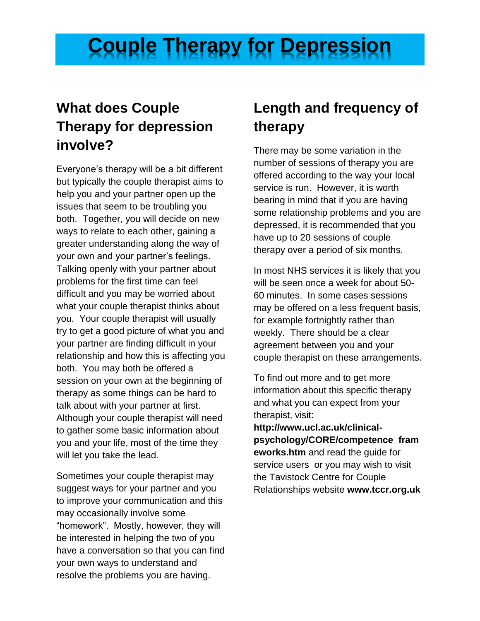## **Couple Therapy for Depression**

## **What does Couple Therapy for depression involve?**

Everyone's therapy will be a bit different but typically the couple therapist aims to help you and your partner open up the issues that seem to be troubling you both. Together, you will decide on new ways to relate to each other, gaining a greater understanding along the way of your own and your partner's feelings. Talking openly with your partner about problems for the first time can feel difficult and you may be worried about what your couple therapist thinks about you. Your couple therapist will usually try to get a good picture of what you and your partner are finding difficult in your relationship and how this is affecting you both. You may both be offered a session on your own at the beginning of therapy as some things can be hard to talk about with your partner at first. Although your couple therapist will need to gather some basic information about you and your life, most of the time they will let you take the lead.

Sometimes your couple therapist may suggest ways for your partner and you to improve your communication and this may occasionally involve some "homework". Mostly, however, they will be interested in helping the two of you have a conversation so that you can find your own ways to understand and resolve the problems you are having.

## **Length and frequency of therapy**

There may be some variation in the number of sessions of therapy you are offered according to the way your local service is run. However, it is worth bearing in mind that if you are having some relationship problems and you are depressed, it is recommended that you have up to 20 sessions of couple therapy over a period of six months.

In most NHS services it is likely that you will be seen once a week for about 50- 60 minutes. In some cases sessions may be offered on a less frequent basis, for example fortnightly rather than weekly. There should be a clear agreement between you and your couple therapist on these arrangements.

To find out more and to get more information about this specific therapy and what you can expect from your therapist, visit:

**http://www.ucl.ac.uk/clinicalpsychology/CORE/competence\_fram eworks.htm** and read the guide for service users or you may wish to visit the Tavistock Centre for Couple Relationships website **www.tccr.org.uk**